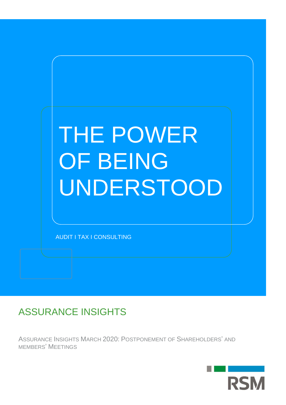

# ASSURANCE INSIGHTS

ASSURANCE INSIGHTS MARCH 2020: POSTPONEMENT OF SHAREHOLDERS' AND MEMBERS' MEETINGS

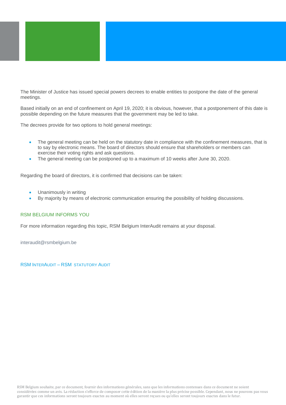

The Minister of Justice has issued special powers decrees to enable entities to postpone the date of the general meetings.

Based initially on an end of confinement on April 19, 2020; it is obvious, however, that a postponement of this date is possible depending on the future measures that the government may be led to take.

The decrees provide for two options to hold general meetings:

- The general meeting can be held on the statutory date in compliance with the confinement measures, that is to say by electronic means. The board of directors should ensure that shareholders or members can exercise their voting rights and ask questions.
- The general meeting can be postponed up to a maximum of 10 weeks after June 30, 2020.

Regarding the board of directors, it is confirmed that decisions can be taken:

- Unanimously in writing
- By majority by means of electronic communication ensuring the possibility of holding discussions.

## RSM BELGIUM INFORMS YOU

For more information regarding this topic, RSM Belgium InterAudit remains at your disposal.

[interaudit@rsmbelgium.be](mailto:interaudit@rsmbelgium.be)

RSM INTERAUDIT – RSM STATUTORY AUDIT